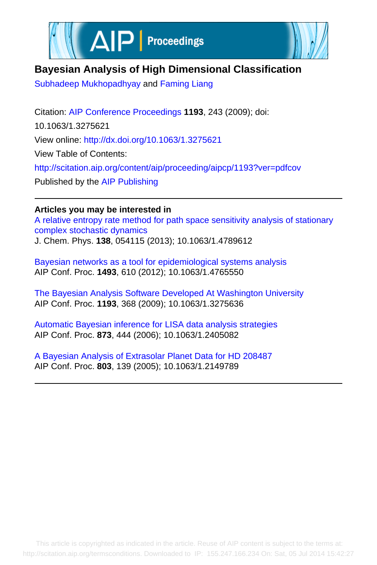



## **Bayesian Analysis of High Dimensional Classification**

[Subhadeep Mukhopadhyay](http://scitation.aip.org/search?value1=Subhadeep+Mukhopadhyay&option1=author) and [Faming Liang](http://scitation.aip.org/search?value1=Faming+Liang&option1=author)

Citation: [AIP Conference Proceedings](http://scitation.aip.org/content/aip/proceeding/aipcp?ver=pdfcov) **1193**, 243 (2009); doi: 10.1063/1.3275621 View online:<http://dx.doi.org/10.1063/1.3275621> View Table of Contents: <http://scitation.aip.org/content/aip/proceeding/aipcp/1193?ver=pdfcov> Published by the [AIP Publishing](http://scitation.aip.org/content/aip?ver=pdfcov)

## **Articles you may be interested in**

[A relative entropy rate method for path space sensitivity analysis of stationary](http://scitation.aip.org/content/aip/journal/jcp/138/5/10.1063/1.4789612?ver=pdfcov) [complex stochastic dynamics](http://scitation.aip.org/content/aip/journal/jcp/138/5/10.1063/1.4789612?ver=pdfcov) J. Chem. Phys. **138**, 054115 (2013); 10.1063/1.4789612

[Bayesian networks as a tool for epidemiological systems analysis](http://scitation.aip.org/content/aip/proceeding/aipcp/10.1063/1.4765550?ver=pdfcov) AIP Conf. Proc. **1493**, 610 (2012); 10.1063/1.4765550

[The Bayesian Analysis Software Developed At Washington University](http://scitation.aip.org/content/aip/proceeding/aipcp/10.1063/1.3275636?ver=pdfcov) AIP Conf. Proc. **1193**, 368 (2009); 10.1063/1.3275636

[Automatic Bayesian inference for LISA data analysis strategies](http://scitation.aip.org/content/aip/proceeding/aipcp/10.1063/1.2405082?ver=pdfcov) AIP Conf. Proc. **873**, 444 (2006); 10.1063/1.2405082

[A Bayesian Analysis of Extrasolar Planet Data for HD 208487](http://scitation.aip.org/content/aip/proceeding/aipcp/10.1063/1.2149789?ver=pdfcov) AIP Conf. Proc. **803**, 139 (2005); 10.1063/1.2149789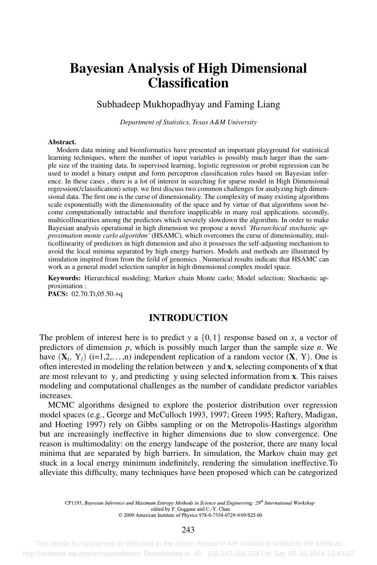# Bayesian Analysis of High Dimensional **Classification**

Subhadeep Mukhopadhyay and Faming Liang

*Department of Statistics, Texas A&M University*

#### Abstract.

Modern data mining and bioinformatics have presented an important playground for statistical learning techniques, where the number of input variables is possibly much larger than the sample size of the training data. In supervised learning, logistic regression or probit regression can be used to model a binary output and form perceptron classification rules based on Bayesian inference. In these cases , there is a lot of interest in searching for sparse model in High Dimensional regression(/classification) setup. we first discuss two common challenges for analyzing high dimensional data. The first one is the curse of dimensionality. The complexity of many existing algorithms scale exponentially with the dimensionality of the space and by virtue of that algorithms soon become computationally intractable and therefore inapplicable in many real applications. secondly, multicollinearities among the predictors which severely slowdown the algorithm. In order to make Bayesian analysis operational in high dimension we propose a novel *'Hierarchical stochastic approximation monte carlo algorithm'* (HSAMC), which overcomes the curse of dimensionality, multicollinearity of predictors in high dimension and also it possesses the self-adjusting mechanism to avoid the local minima separated by high energy barriers. Models and methods are illustrated by simulation inspired from from the feild of genomics . Numerical results indicate that HSAMC can work as a general model selection sampler in high dimensional complex model space.

Keywords: Hierarchical modeling; Markov chain Monte carlo; Model selection; Stochastic approximation ;

PACS: 02.70.Tt,05.50.+q

## INTRODUCTION

The problem of interest here is to predict *y* a  $\{0,1\}$  response based on *x*, a vector of predictors of dimension *p*, which is possibly much larger than the sample size *n*. We have  $(X_i, Y_i)$  (i=1,2,...,n) independent replication of a random vector  $(X, Y)$ . One is often interested in modeling the relation between y and x, selecting components of x that are most relevant to y, and predicting y using selected information from x. This raises modeling and computational challenges as the number of candidate predictor variables increases.

MCMC algorithms designed to explore the posterior distribution over regression model spaces (e.g., George and McCulloch 1993, 1997; Green 1995; Raftery, Madigan, and Hoeting 1997) rely on Gibbs sampling or on the Metropolis-Hastings algorithm but are increasingly ineffective in higher dimensions due to slow convergence. One reason is multimodality: on the energy landscape of the posterior, there are many local minima that are separated by high barriers. In simulation, the Markov chain may get stuck in a local energy minimum indefinitely, rendering the simulation ineffective.To alleviate this difficulty, many techniques have been proposed which can be categorized

CP1193, Bayesian Inference and Maximum Entropy Methods in Science and Engineering: 29<sup>th</sup> International Workshop edited by P. Goggans and C.-Y. Chan © 2009 American Institute of Physics 978-0-7354-0729-9/09/\$25.00

243

 This article is copyrighted as indicated in the article. Reuse of AIP content is subject to the terms at: http://scitation.aip.org/termsconditions. Downloaded to IP: 155.247.166.234 On: Sat, 05 Jul 2014 15:42:27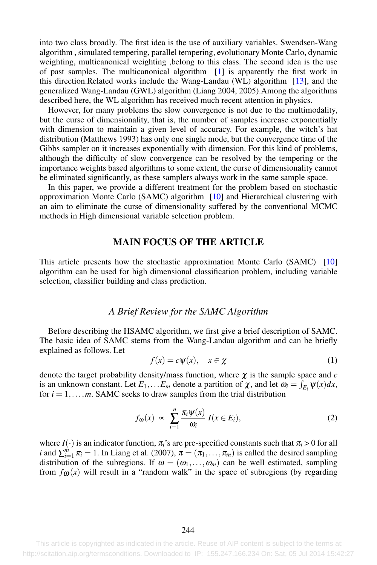into two class broadly. The first idea is the use of auxiliary variables. Swendsen-Wang algorithm , simulated tempering, parallel tempering, evolutionary Monte Carlo, dynamic weighting, multicanonical weighting ,belong to this class. The second idea is the use of past samples. The multicanonical algorithm [1] is apparently the first work in this direction.Related works include the Wang-Landau (WL) algorithm [13], and the generalized Wang-Landau (GWL) algorithm (Liang 2004, 2005).Among the algorithms described here, the WL algorithm has received much recent attention in physics.

However, for many problems the slow convergence is not due to the multimodality, but the curse of dimensionality, that is, the number of samples increase exponentially with dimension to maintain a given level of accuracy. For example, the witch's hat distribution (Matthews 1993) has only one single mode, but the convergence time of the Gibbs sampler on it increases exponentially with dimension. For this kind of problems, although the difficulty of slow convergence can be resolved by the tempering or the importance weights based algorithms to some extent, the curse of dimensionality cannot be eliminated significantly, as these samplers always work in the same sample space.

In this paper, we provide a different treatment for the problem based on stochastic approximation Monte Carlo (SAMC) algorithm  $[10]$  and Hierarchical clustering with an aim to eliminate the curse of dimensionality suffered by the conventional MCMC methods in High dimensional variable selection problem.

## MAIN FOCUS OF THE ARTICLE

This article presents how the stochastic approximation Monte Carlo (SAMC) [10] algorithm can be used for high dimensional classification problem, including variable selection, classifier building and class prediction.

### *A Brief Review for the SAMC Algorithm*

Before describing the HSAMC algorithm, we first give a brief description of SAMC. The basic idea of SAMC stems from the Wang-Landau algorithm and can be briefly explained as follows. Let

$$
f(x) = c\psi(x), \quad x \in \chi \tag{1}
$$

denote the target probability density/mass function, where  $\chi$  is the sample space and *c* is an unknown constant. Let  $E_1, \ldots E_m$  denote a partition of  $\chi$ , and let  $\omega_i = \int_{E_i} \psi(x) dx$ , for  $i = 1, \ldots, m$ . SAMC seeks to draw samples from the trial distribution

$$
f_{\omega}(x) \propto \sum_{i=1}^{n} \frac{\pi_i \psi(x)}{\omega_i} I(x \in E_i), \tag{2}
$$

where  $I(\cdot)$  is an indicator function,  $\pi_i$ 's are pre-specified constants such that  $\pi_i > 0$  for all *i* and  $\sum_{i=1}^{m} \pi_i = 1$ . In Liang et al. (2007),  $\pi = (\pi_1, \ldots, \pi_m)$  is called the desired sampling distribution of the subregions. If  $\omega = (\omega_1, \ldots, \omega_m)$  can be well estimated, sampling from  $f_{\omega}(x)$  will result in a "random walk" in the space of subregions (by regarding

This article is copyrighted as indicated in the article. Reuse of AIP content is subject to the terms at: http://scitation.aip.org/termsconditions. Downloaded to IP: 155.247.166.234 On: Sat, 05 Jul 2014 15:42:27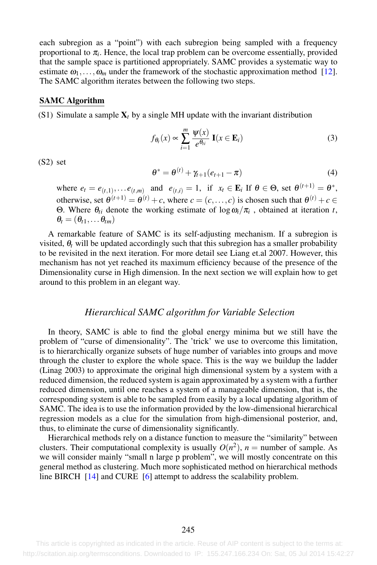each subregion as a "point") with each subregion being sampled with a frequency proportional to  $\pi_i$ . Hence, the local trap problem can be overcome essentially, provided that the sample space is partitioned appropriately. SAMC provides a systematic way to estimate  $\omega_1, \ldots, \omega_m$  under the framework of the stochastic approximation method [12]. The SAMC algorithm iterates between the following two steps.

#### SAMC Algorithm

(S1) Simulate a sample  $X_t$  by a single MH update with the invariant distribution

$$
f_{\theta_t}(x) \propto \sum_{i=1}^m \frac{\psi(x)}{e^{\theta_{ti}}} \mathbf{I}(x \in \mathbf{E}_i)
$$
 (3)

(S2) set

$$
\theta^* = \theta^{(t)} + \gamma_{t+1}(e_{t+1} - \pi) \tag{4}
$$

where  $e_t = e_{(t,1)}, \ldots e_{(t,m)}$  and  $e_{(t,i)} = 1$ , if  $x_t \in \mathbf{E}_i$  If  $\theta \in \Theta$ , set  $\theta^{(t+1)} = \theta^*$ , otherwise, set  $\theta^{(t+1)} = \theta^{(t)} + c$ , where  $c = (c, \ldots, c)$  is chosen such that  $\theta^{(t)} + c \in$ Θ. Where θ*ti* denote the working estimate of logω*i*/π*<sup>i</sup>* , obtained at iteration *t*,  $\theta_t = (\theta_{t1}, \ldots \theta_{tm})$ 

A remarkable feature of SAMC is its self-adjusting mechanism. If a subregion is visited,  $\theta_t$  will be updated accordingly such that this subregion has a smaller probability to be revisited in the next iteration. For more detail see Liang et.al 2007. However, this mechanism has not yet reached its maximum efficiency because of the presence of the Dimensionality curse in High dimension. In the next section we will explain how to get around to this problem in an elegant way.

#### *Hierarchical SAMC algorithm for Variable Selection*

In theory, SAMC is able to find the global energy minima but we still have the problem of "curse of dimensionality". The 'trick' we use to overcome this limitation, is to hierarchically organize subsets of huge number of variables into groups and move through the cluster to explore the whole space. This is the way we buildup the ladder (Linag 2003) to approximate the original high dimensional system by a system with a reduced dimension, the reduced system is again approximated by a system with a further reduced dimension, until one reaches a system of a manageable dimension, that is, the corresponding system is able to be sampled from easily by a local updating algorithm of SAMC. The idea is to use the information provided by the low-dimensional hierarchical regression models as a clue for the simulation from high-dimensional posterior, and, thus, to eliminate the curse of dimensionality significantly.

Hierarchical methods rely on a distance function to measure the "similarity" between clusters. Their computational complexity is usually  $O(n^2)$ ,  $n =$  number of sample. As we will consider mainly "small n large p problem", we will mostly concentrate on this general method as clustering. Much more sophisticated method on hierarchical methods line BIRCH [14] and CURE [6] attempt to address the scalability problem.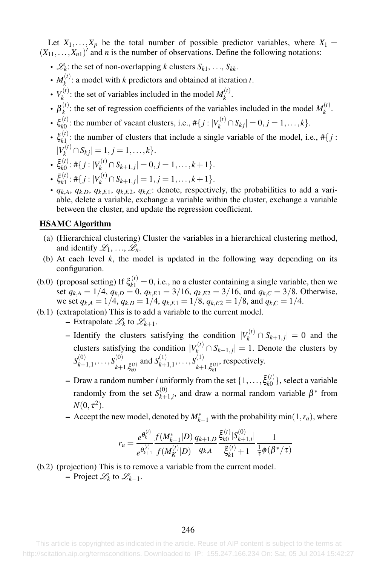Let  $X_1, \ldots, X_p$  be the total number of possible predictor variables, where  $X_1 =$  $(X_{11},...,X_{n1})'$  and *n* is the number of observations. Define the following notations:

- $\mathcal{L}_k$ : the set of non-overlapping *k* clusters  $S_{k1}, \ldots, S_{kk}$ .
- $M_k^{(t)}$ : a model with *k* predictors and obtained at iteration *t*.
- $V_k^{(t)}$ : the set of variables included in the model  $M_k^{(t)}$ .
- $\beta_k^{(t)}$ : the set of regression coefficients of the variables included in the model  $M_k^{(t)}$ .
- $\xi_{k0}^{(t)}$ : the number of vacant clusters, i.e.,  $\#\{j : |V_k^{(t)} \cap S_{kj}| = 0, j = 1, ..., k\}$ .
- $\xi_{k1}^{(t)}$ : the number of clusters that include a single variable of the model, i.e.,  $\#\{j :$  $|V_k^{(t)} \cap S_{kj}| = 1, j = 1, \ldots, k\}.$
- $\tilde{\xi}_{k0}^{(t)}$ : #{ $j: |V_k^{(t)} \cap S_{k+1,j}| = 0, j = 1,...,k+1$  }.
- $\tilde{\xi}_{k1}^{(t)}$ : #{ $j: |V_k^{(t)} \cap S_{k+1,j}| = 1, j = 1, \ldots, k+1$  }.
- $q_{k,A}$ ,  $q_{k,D}$ ,  $q_{k,E1}$ ,  $q_{k,E2}$ ,  $q_{k,C}$ : denote, respectively, the probabilities to add a variable, delete a variable, exchange a variable within the cluster, exchange a variable between the cluster, and update the regression coefficient.

## HSAMC Algorithm

- (a) (Hierarchical clustering) Cluster the variables in a hierarchical clustering method, and identify  $\mathscr{L}_1, \ldots, \mathscr{L}_n$ .
- (b) At each level  $k$ , the model is updated in the following way depending on its configuration.
- (b.0) (proposal setting) If  $\xi_{k1}^{(t)} = 0$ , i.e., no a cluster containing a single variable, then we set  $q_{k,A} = 1/4$ ,  $q_{k,D} = 0$ ,  $q_{k,E1} = 3/16$ ,  $q_{k,E2} = 3/16$ , and  $q_{k,C} = 3/8$ . Otherwise, we set  $q_{k,A} = 1/4$ ,  $q_{k,D} = 1/4$ ,  $q_{k,E1} = 1/8$ ,  $q_{k,E2} = 1/8$ , and  $q_{k,C} = 1/4$ .
- (b.1) (extrapolation) This is to add a variable to the current model.
	- $-$  Extrapolate  $\mathcal{L}_k$  to  $\mathcal{L}_{k+1}$ .
	- Identify the clusters satisfying the condition  $|V_k^{(t)} \cap S_{k+1,j}| = 0$  and the clusters satisfying the condition  $|V_k^{(t)} \cap S_{k+1,j}| = 1$ . Denote the clusters by  $S_{k+1,1}^{(0)},\ldots,S_{k\pm}^{(0)}$  $k+1, \tilde{\xi}_{k0}^{(t)}$ and  $S_{k+1,1}^{(1)}, \ldots, S_{k+1}^{(1)}$  $k+1, \tilde{\xi}_{k1}^{(t)}$ , respectively.
	- $-$  Draw a random number *i* uniformly from the set  $\{1, \ldots, \tilde{\xi}_{k0}^{(t)}\}$ , select a variable randomly from the set  $S_{k+1}^{(0)}$  $x_{k+1,i}^{(0)}$ , and draw a normal random variable  $\beta^*$  from  $N(0, \tau^2)$ .
	- $\sim$  Accept the new model, denoted by  $M^*_{k+1}$  with the probability min(1,*r<sub>a</sub>*), where

$$
r_a = \frac{e^{\theta_k^{(t)}}}{e^{\theta_{k+1}^{(t)}}} \frac{f(M_{k+1}^*|D)}{f(M_K^{(t)}|D)} \frac{q_{k+1,D}}{q_{k,A}} \frac{\tilde{\xi}_{k0}^{(t)}|S_{k+1,i}^{(0)}|}{\tilde{\xi}_{k1}^{(t)}+1} \frac{1}{\frac{1}{\tau} \phi(\beta^*/\tau)}
$$

(b.2) (projection) This is to remove a variable from the current model.  $-$  Project  $\mathcal{L}_k$  to  $\mathcal{L}_{k-1}$ .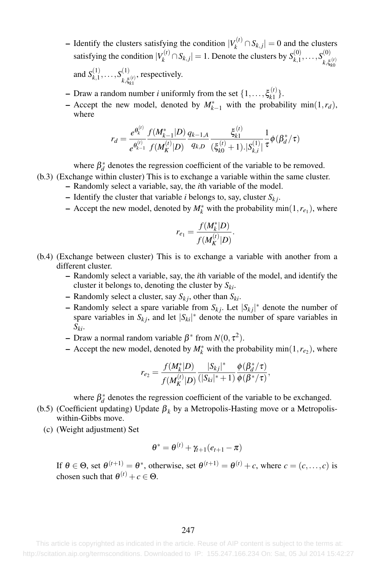− Identify the clusters satisfying the condition  $|V_k^{(t)} \cap S_{k,j}| = 0$  and the clusters satisfying the condition  $|V_k^{(t)} \cap S_{k,j}| = 1$ . Denote the clusters by  $S_{k,1}^{(0)}, \ldots, S_{k,\varepsilon}^{(0)}$  $k, \xi_{k0}^{(t)}$ 

and  $S_{k,1}^{(1)}, \ldots, S_{k,\varepsilon}^{(1)}$  $k, \xi_{k1}^{(t)}$ , respectively.

- $-$  Draw a random number *i* uniformly from the set  $\{1, \ldots, \xi_{k_1}^{(t)}\}.$
- − Accept the new model, denoted by  $M^*_{k-1}$  with the probability min(1,*r<sub>d</sub>*), where

$$
r_d=\frac{e^{\theta^{(t)}_k}}{e^{\theta^{(t)}_{k-1}}}\frac{f(M^*_{k-1}|D)}{f(M^{(t)}_K|D)}\frac{q_{k-1,A}}{q_{k,D}}\frac{\xi^{(t)}_{k1}}{(\xi^{(t)}_{k0}+1).|S^{(1)}_{k,i}|}\frac{1}{\tau}\phi(\beta^*_d/\tau)
$$

where  $\beta_d^*$  denotes the regression coefficient of the variable to be removed.

- (b.3) (Exchange within cluster) This is to exchange a variable within the same cluster.
	- Randomly select a variable, say, the *i*th variable of the model.
	- $-$  Identify the cluster that variable *i* belongs to, say, cluster  $S_k$ .
	- $-$  Accept the new model, denoted by  $M_k^*$  with the probability min $(1, r_{e_1})$ , where

$$
r_{e_1} = \frac{f(M_k^*|D)}{f(M_K^{(t)}|D)}.
$$

- (b.4) (Exchange between cluster) This is to exchange a variable with another from a different cluster.
	- Randomly select a variable, say, the *i*th variable of the model, and identify the cluster it belongs to, denoting the cluster by  $S_{ki}$ .
	- $-$  Randomly select a cluster, say  $S_{kj}$ , other than  $S_{ki}$ .
	- $-$  Randomly select a spare variable from  $S_{kj}$ . Let  $|S_{kj}|^*$  denote the number of spare variables in  $S_{kj}$ , and let  $|S_{ki}|^*$  denote the number of spare variables in *Ski*.
	- Draw a normal random variable  $\beta^*$  from  $N(0, \tau^2)$ .
	- − Accept the new model, denoted by  $M_k^*$  with the probability min(1, $r_{e_2}$ ), where

$$
r_{e_2} = \frac{f(M_k^*|D)}{f(M_K^{(t)}|D)} \frac{|S_{kj}|^*}{(|S_{ki}|^*+1)} \frac{\phi(\beta_d^*/\tau)}{\phi(\beta^*/\tau)},
$$

where  $\beta_d^*$  denotes the regression coefficient of the variable to be exchanged.

- (b.5) (Coefficient updating) Update β*<sup>k</sup>* by a Metropolis-Hasting move or a Metropoliswithin-Gibbs move.
	- (c) (Weight adjustment) Set

$$
\theta^* = \theta^{(t)} + \gamma_{t+1}(e_{t+1} - \pi)
$$

If  $\theta \in \Theta$ , set  $\theta^{(t+1)} = \theta^*$ , otherwise, set  $\theta^{(t+1)} = \theta^{(t)} + c$ , where  $c = (c, \dots, c)$  is chosen such that  $\theta^{(t)} + c \in \Theta$ .

 This article is copyrighted as indicated in the article. Reuse of AIP content is subject to the terms at: http://scitation.aip.org/termsconditions. Downloaded to IP: 155.247.166.234 On: Sat, 05 Jul 2014 15:42:27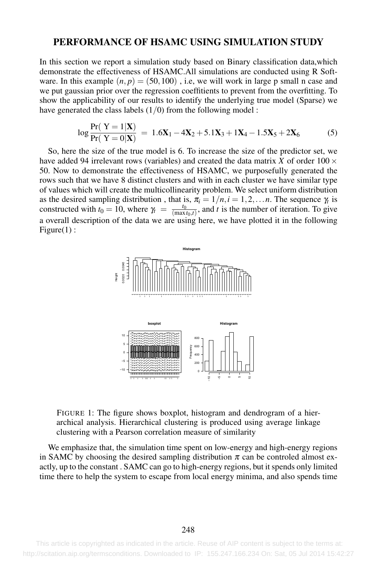## PERFORMANCE OF HSAMC USING SIMULATION STUDY

In this section we report a simulation study based on Binary classification data,which demonstrate the effectiveness of HSAMC.All simulations are conducted using R Software. In this example  $(n, p) = (50, 100)$ , i.e, we will work in large p small n case and we put gaussian prior over the regression coeffitients to prevent from the overfitting. To show the applicability of our results to identify the underlying true model (Sparse) we have generated the class labels  $(1/0)$  from the following model :

$$
\log \frac{\Pr(Y=1|\mathbf{X})}{\Pr(Y=0|\mathbf{X})} = 1.6\mathbf{X}_1 - 4\mathbf{X}_2 + 5.1\mathbf{X}_3 + 1\mathbf{X}_4 - 1.5\mathbf{X}_5 + 2\mathbf{X}_6 \tag{5}
$$

So, here the size of the true model is 6. To increase the size of the predictor set, we have added 94 irrelevant rows (variables) and created the data matrix *X* of order  $100 \times$ 50. Now to demonstrate the effectiveness of HSAMC, we purposefully generated the rows such that we have 8 distinct clusters and with in each cluster we have similar type of values which will create the multicollinearity problem. We select uniform distribution as the desired sampling distribution, that is,  $\pi_i = 1/n, i = 1, 2, \dots n$ . The sequence  $\gamma_i$  is constructed with  $t_0 = 10$ , where  $\gamma_t = \frac{t_0}{(\max t_0, t)}$ , and *t* is the number of iteration. To give a overall description of the data we are using here, we have plotted it in the following Figure(1):



FIGURE 1: The figure shows boxplot, histogram and dendrogram of a hierarchical analysis. Hierarchical clustering is produced using average linkage clustering with a Pearson correlation measure of similarity

We emphasize that, the simulation time spent on low-energy and high-energy regions in SAMC by choosing the desired sampling distribution  $\pi$  can be controled almost exactly, up to the constant . SAMC can go to high-energy regions, but it spends only limited time there to help the system to escape from local energy minima, and also spends time

This article is copyrighted as indicated in the article. Reuse of AIP content is subject to the terms at: http://scitation.aip.org/termsconditions. Downloaded to IP: 155.247.166.234 On: Sat, 05 Jul 2014 15:42:27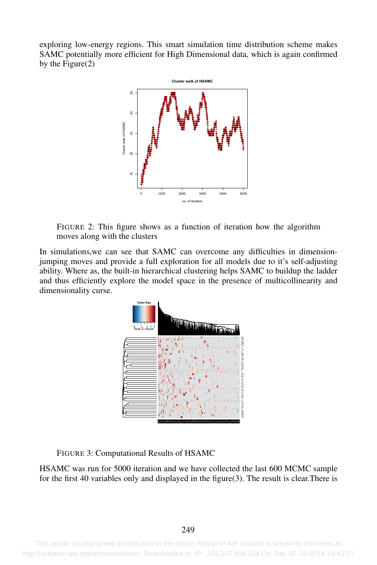exploring low-energy regions. This smart simulation time distribution scheme makes SAMC potentially more efficient for High Dimensional data, which is again confirmed by the Figure(2)



FIGURE 2: This figure shows as a function of iteration how the algorithm moves along with the clusters

In simulations,we can see that SAMC can overcome any difficulties in dimensionjumping moves and provide a full exploration for all models due to it's self-adjusting ability. Where as, the built-in hierarchical clustering helps SAMC to buildup the ladder and thus efficiently explore the model space in the presence of multicollinearity and dimensionality curse.



FIGURE 3: Computational Results of HSAMC

HSAMC was run for 5000 iteration and we have collected the last 600 MCMC sample for the first 40 variables only and displayed in the figure(3). The result is clear.There is